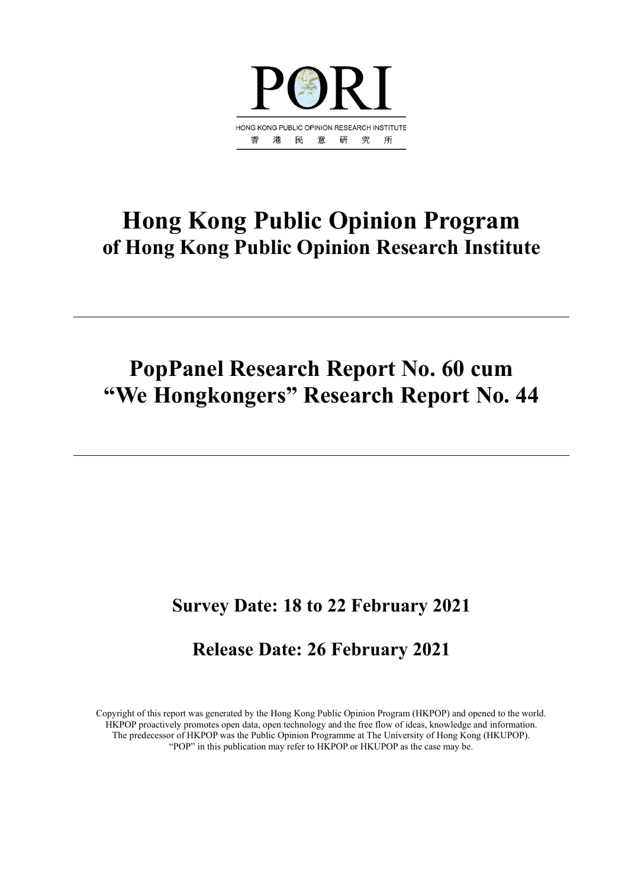

# **Hong Kong Public Opinion Program of Hong Kong Public Opinion Research Institute**

# **PopPanel Research Report No. 60 cum "We Hongkongers" Research Report No. 44**

# **Survey Date: 18 to 22 February 2021**

# **Release Date: 26 February 2021**

Copyright of this report was generated by the Hong Kong Public Opinion Program (HKPOP) and opened to the world. HKPOP proactively promotes open data, open technology and the free flow of ideas, knowledge and information. The predecessor of HKPOP was the Public Opinion Programme at The University of Hong Kong (HKUPOP). "POP" in this publication may refer to HKPOP or HKUPOP as the case may be.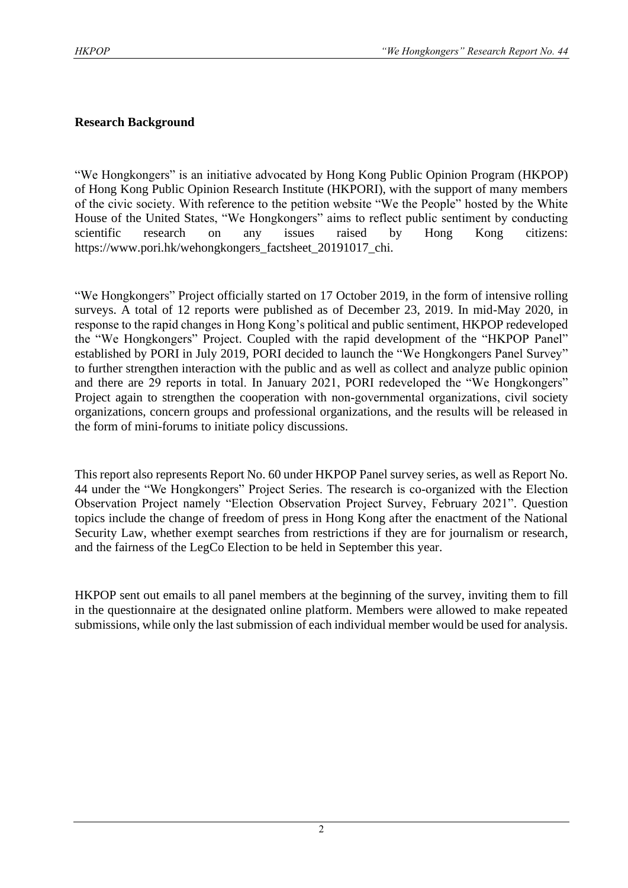# **Research Background**

"We Hongkongers" is an initiative advocated by Hong Kong Public Opinion Program (HKPOP) of Hong Kong Public Opinion Research Institute (HKPORI), with the support of many members of the civic society. With reference to the petition website "We the People" hosted by the White House of the United States, "We Hongkongers" aims to reflect public sentiment by conducting scientific research on any issues raised by Hong Kong citizens: https://www.pori.hk/wehongkongers\_factsheet\_20191017\_chi.

"We Hongkongers" Project officially started on 17 October 2019, in the form of intensive rolling surveys. A total of 12 reports were published as of December 23, 2019. In mid-May 2020, in response to the rapid changes in Hong Kong's political and public sentiment, HKPOP redeveloped the "We Hongkongers" Project. Coupled with the rapid development of the "HKPOP Panel" established by PORI in July 2019, PORI decided to launch the "We Hongkongers Panel Survey" to further strengthen interaction with the public and as well as collect and analyze public opinion and there are 29 reports in total. In January 2021, PORI redeveloped the "We Hongkongers" Project again to strengthen the cooperation with non-governmental organizations, civil society organizations, concern groups and professional organizations, and the results will be released in the form of mini-forums to initiate policy discussions.

This report also represents Report No. 60 under HKPOP Panel survey series, as well as Report No. 44 under the "We Hongkongers" Project Series. The research is co-organized with the Election Observation Project namely "Election Observation Project Survey, February 2021". Question topics include the change of freedom of press in Hong Kong after the enactment of the National Security Law, whether exempt searches from restrictions if they are for journalism or research, and the fairness of the LegCo Election to be held in September this year.

HKPOP sent out emails to all panel members at the beginning of the survey, inviting them to fill in the questionnaire at the designated online platform. Members were allowed to make repeated submissions, while only the last submission of each individual member would be used for analysis.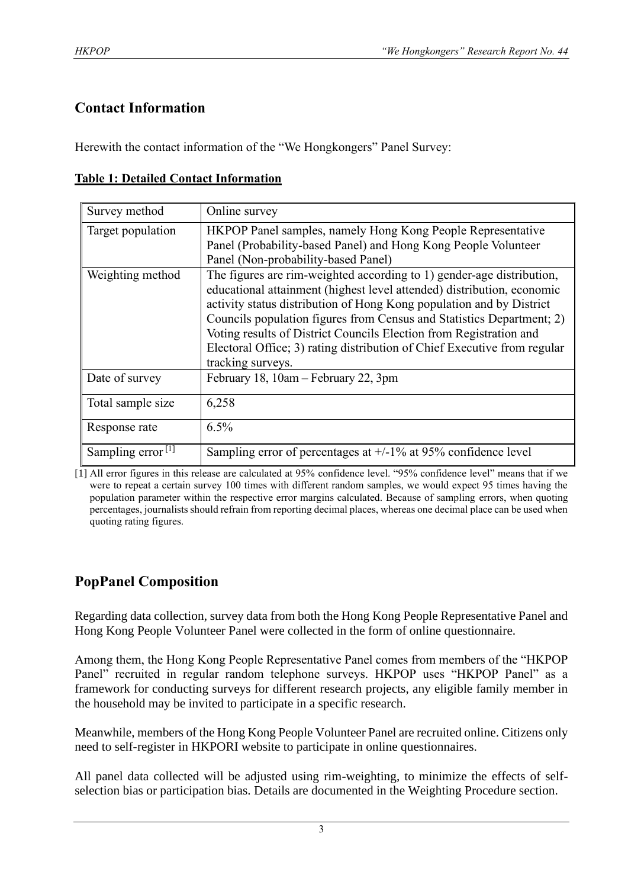# **Contact Information**

Herewith the contact information of the "We Hongkongers" Panel Survey:

|  |  | <b>Table 1: Detailed Contact Information</b> |
|--|--|----------------------------------------------|
|  |  |                                              |

| Survey method        | Online survey                                                                                                                                                                                                                                                                                                                                                                                                                                                           |
|----------------------|-------------------------------------------------------------------------------------------------------------------------------------------------------------------------------------------------------------------------------------------------------------------------------------------------------------------------------------------------------------------------------------------------------------------------------------------------------------------------|
| Target population    | HKPOP Panel samples, namely Hong Kong People Representative<br>Panel (Probability-based Panel) and Hong Kong People Volunteer<br>Panel (Non-probability-based Panel)                                                                                                                                                                                                                                                                                                    |
| Weighting method     | The figures are rim-weighted according to 1) gender-age distribution,<br>educational attainment (highest level attended) distribution, economic<br>activity status distribution of Hong Kong population and by District<br>Councils population figures from Census and Statistics Department; 2)<br>Voting results of District Councils Election from Registration and<br>Electoral Office; 3) rating distribution of Chief Executive from regular<br>tracking surveys. |
| Date of survey       | February 18, 10am - February 22, 3pm                                                                                                                                                                                                                                                                                                                                                                                                                                    |
| Total sample size    | 6,258                                                                                                                                                                                                                                                                                                                                                                                                                                                                   |
| Response rate        | 6.5%                                                                                                                                                                                                                                                                                                                                                                                                                                                                    |
| Sampling error $[1]$ | Sampling error of percentages at $+/-1\%$ at 95% confidence level                                                                                                                                                                                                                                                                                                                                                                                                       |

[1] All error figures in this release are calculated at 95% confidence level. "95% confidence level" means that if we were to repeat a certain survey 100 times with different random samples, we would expect 95 times having the population parameter within the respective error margins calculated. Because of sampling errors, when quoting percentages, journalists should refrain from reporting decimal places, whereas one decimal place can be used when quoting rating figures.

# **PopPanel Composition**

Regarding data collection, survey data from both the Hong Kong People Representative Panel and Hong Kong People Volunteer Panel were collected in the form of online questionnaire.

Among them, the Hong Kong People Representative Panel comes from members of the "HKPOP Panel" recruited in regular random telephone surveys. HKPOP uses "HKPOP Panel" as a framework for conducting surveys for different research projects, any eligible family member in the household may be invited to participate in a specific research.

Meanwhile, members of the Hong Kong People Volunteer Panel are recruited online. Citizens only need to self-register in HKPORI website to participate in online questionnaires.

All panel data collected will be adjusted using rim-weighting, to minimize the effects of selfselection bias or participation bias. Details are documented in the Weighting Procedure section.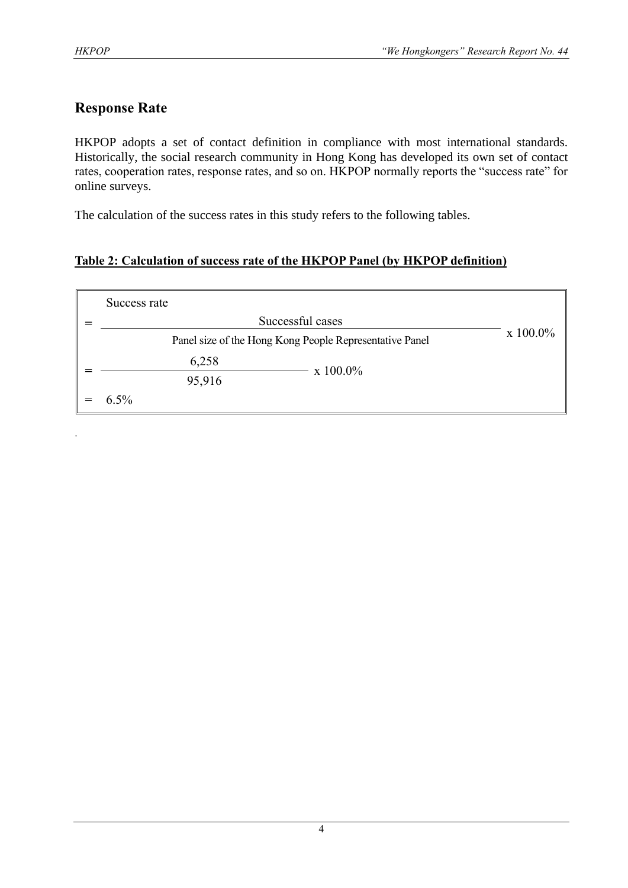.

# **Response Rate**

HKPOP adopts a set of contact definition in compliance with most international standards. Historically, the social research community in Hong Kong has developed its own set of contact rates, cooperation rates, response rates, and so on. HKPOP normally reports the "success rate" for online surveys.

The calculation of the success rates in this study refers to the following tables.

# **Table 2: Calculation of success rate of the HKPOP Panel (by HKPOP definition)**

| Success rate |                                                         |          |
|--------------|---------------------------------------------------------|----------|
|              | Successful cases                                        |          |
|              | Panel size of the Hong Kong People Representative Panel | x 100.0% |
| 6,258        | $\rm x\;100.0\%$                                        |          |
| 95,916       |                                                         |          |
| $6.5\%$      |                                                         |          |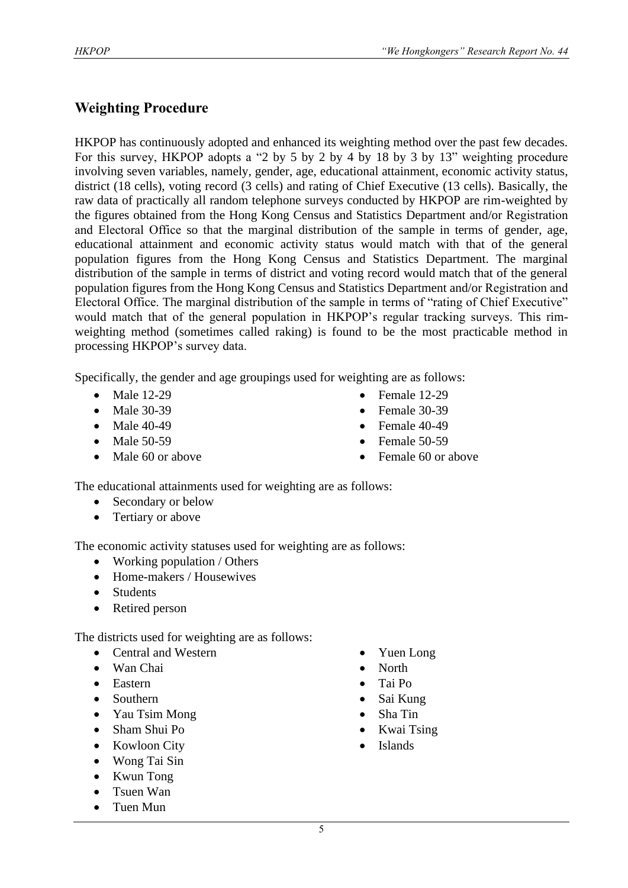# **Weighting Procedure**

HKPOP has continuously adopted and enhanced its weighting method over the past few decades. For this survey, HKPOP adopts a "2 by 5 by 2 by 4 by 18 by 3 by 13" weighting procedure involving seven variables, namely, gender, age, educational attainment, economic activity status, district (18 cells), voting record (3 cells) and rating of Chief Executive (13 cells). Basically, the raw data of practically all random telephone surveys conducted by HKPOP are rim-weighted by the figures obtained from the Hong Kong Census and Statistics Department and/or Registration and Electoral Office so that the marginal distribution of the sample in terms of gender, age, educational attainment and economic activity status would match with that of the general population figures from the Hong Kong Census and Statistics Department. The marginal distribution of the sample in terms of district and voting record would match that of the general population figures from the Hong Kong Census and Statistics Department and/or Registration and Electoral Office. The marginal distribution of the sample in terms of "rating of Chief Executive" would match that of the general population in HKPOP's regular tracking surveys. This rimweighting method (sometimes called raking) is found to be the most practicable method in processing HKPOP's survey data.

Specifically, the gender and age groupings used for weighting are as follows:

- Male 12-29
- Male 30-39
- Male 40-49
- Male 50-59
- Male 60 or above
- Female 12-29
- Female 30-39
- Female  $40-49$
- Female 50-59
- Female 60 or above

The educational attainments used for weighting are as follows:

- Secondary or below
- Tertiary or above

The economic activity statuses used for weighting are as follows:

- Working population / Others
- Home-makers / Housewives
- Students
- Retired person

The districts used for weighting are as follows:

- Central and Western
- Wan Chai
- Eastern
- Southern
- Yau Tsim Mong
- Sham Shui Po
- Kowloon City
- Wong Tai Sin
- Kwun Tong
- Tsuen Wan
- Tuen Mun
- Yuen Long
- North
- Tai Po
- Sai Kung
- Sha Tin
- Kwai Tsing
- Islands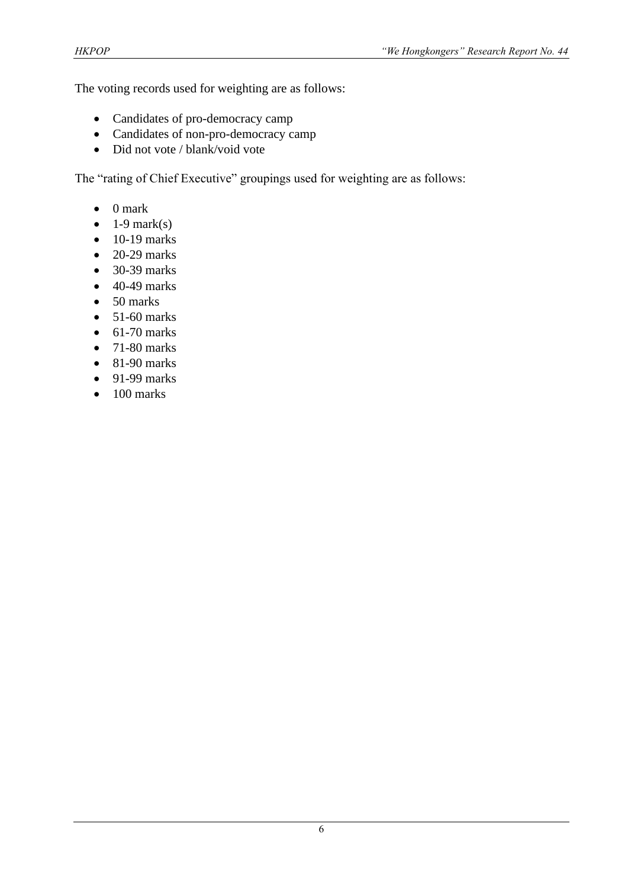The voting records used for weighting are as follows:

- Candidates of pro-democracy camp
- Candidates of non-pro-democracy camp
- Did not vote / blank/void vote

The "rating of Chief Executive" groupings used for weighting are as follows:

- 0 mark
- $\bullet$  1-9 mark(s)
- $\bullet$  10-19 marks
- $\bullet$  20-29 marks
- 30-39 marks
- $\bullet$  40-49 marks
- 50 marks
- $\bullet$  51-60 marks
- $\bullet$  61-70 marks
- $\bullet$  71-80 marks
- 81-90 marks
- $\bullet$  91-99 marks
- 100 marks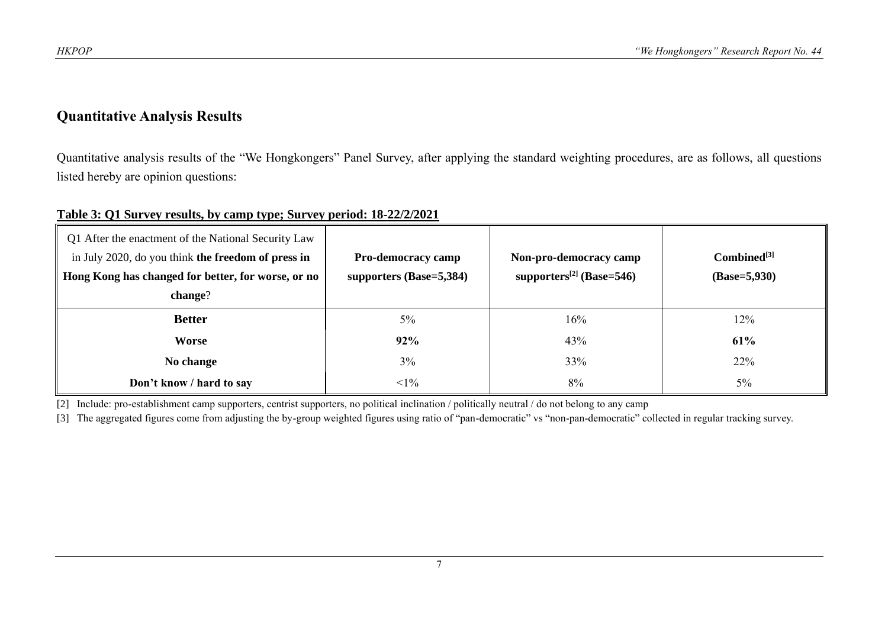# **Quantitative Analysis Results**

Quantitative analysis results of the "We Hongkongers" Panel Survey, after applying the standard weighting procedures, are as follows, all questions listed hereby are opinion questions:

# **Table 3: Q1 Survey results, by camp type; Survey period: 18-22/2/2021**

| Q1 After the enactment of the National Security Law<br>in July 2020, do you think the freedom of press in<br>Hong Kong has changed for better, for worse, or no<br>change? | <b>Pro-democracy camp</b><br>supporters $(Base=5,384)$ | Non-pro-democracy camp<br>supporters <sup>[2]</sup> (Base=546) | $Combined^{[3]}$<br>$(Base=5,930)$ |
|----------------------------------------------------------------------------------------------------------------------------------------------------------------------------|--------------------------------------------------------|----------------------------------------------------------------|------------------------------------|
| <b>Better</b>                                                                                                                                                              | $5\%$                                                  | 16%                                                            | 12%                                |
| Worse                                                                                                                                                                      | 92%                                                    | 43%                                                            | 61%                                |
| No change                                                                                                                                                                  | $3\%$                                                  | 33%                                                            | 22%                                |
| Don't know / hard to say                                                                                                                                                   | $<1\%$                                                 | 8%                                                             | $5\%$                              |

[2] Include: pro-establishment camp supporters, centrist supporters, no political inclination / politically neutral / do not belong to any camp

[3] The aggregated figures come from adjusting the by-group weighted figures using ratio of "pan-democratic" vs "non-pan-democratic" collected in regular tracking survey.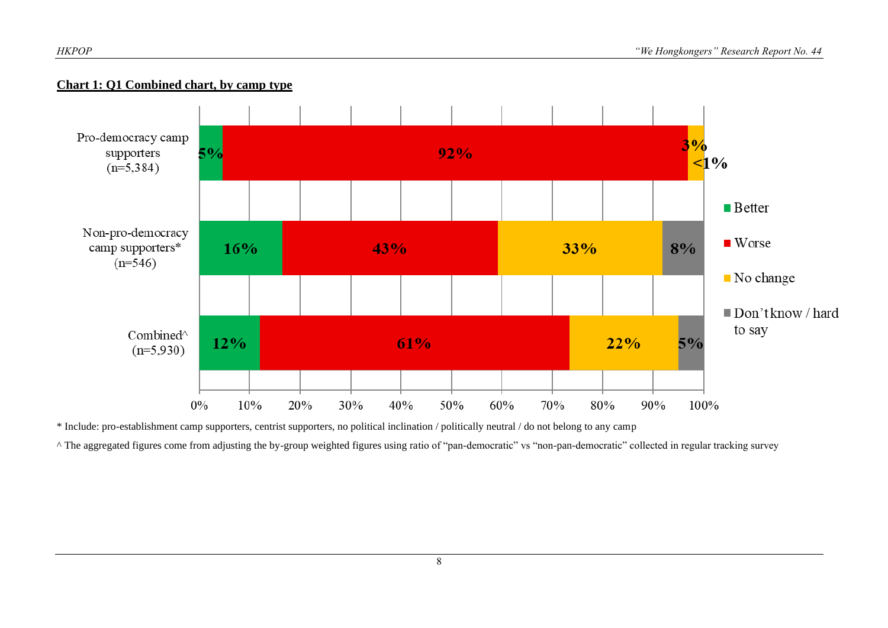

#### **Chart 1: Q1 Combined chart, by camp type**

\* Include: pro-establishment camp supporters, centrist supporters, no political inclination / politically neutral / do not belong to any camp

^ The aggregated figures come from adjusting the by-group weighted figures using ratio of "pan-democratic" vs "non-pan-democratic" collected in regular tracking survey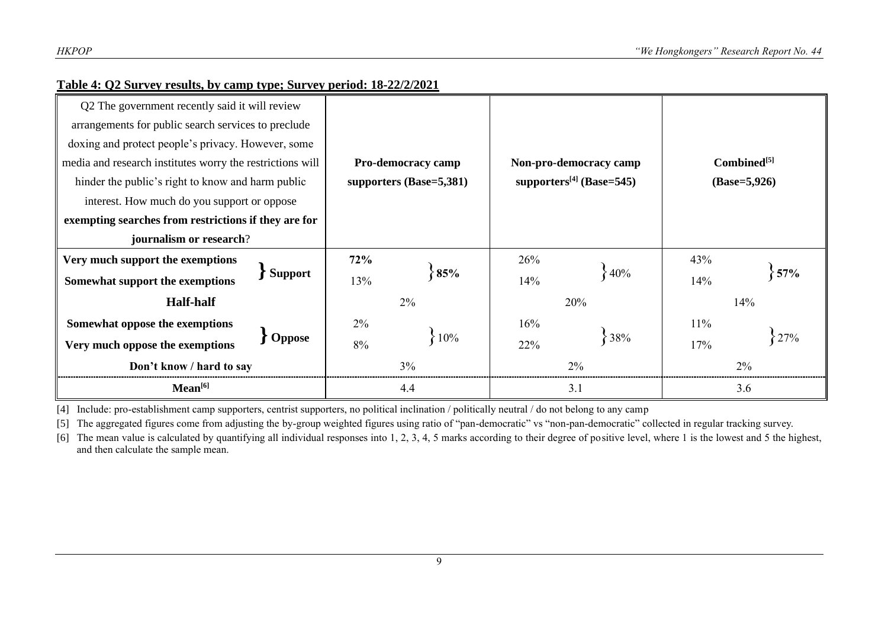| Table 4: Q2 Survey results, by camp type; Survey period: 18-22/2/2021 |  |
|-----------------------------------------------------------------------|--|
|                                                                       |  |

| Q2 The government recently said it will review            |                |                           |     |                                      |                                           |     |     |  |
|-----------------------------------------------------------|----------------|---------------------------|-----|--------------------------------------|-------------------------------------------|-----|-----|--|
| arrangements for public search services to preclude       |                |                           |     |                                      |                                           |     |     |  |
| doxing and protect people's privacy. However, some        |                |                           |     |                                      |                                           |     |     |  |
| media and research institutes worry the restrictions will |                | <b>Pro-democracy camp</b> |     | Non-pro-democracy camp               | Combined <sup>[5]</sup><br>$(Base=5,926)$ |     |     |  |
| hinder the public's right to know and harm public         |                | supporters $(Base=5,381)$ |     | supporters <sup>[4]</sup> (Base=545) |                                           |     |     |  |
| interest. How much do you support or oppose               |                |                           |     |                                      |                                           |     |     |  |
| exempting searches from restrictions if they are for      |                |                           |     |                                      |                                           |     |     |  |
| journalism or research?                                   |                |                           |     |                                      |                                           |     |     |  |
| Very much support the exemptions                          |                | 72%                       |     | 26%                                  |                                           | 43% |     |  |
| Somewhat support the exemptions                           | <b>Support</b> | 13%                       | 85% | 14%                                  | ${40\%}$                                  | 14% | 57% |  |
| <b>Half-half</b>                                          |                | 2%                        |     | 20%                                  |                                           | 14% |     |  |
| Somewhat oppose the exemptions                            |                | 2%                        |     | 16%                                  |                                           | 11% |     |  |
| Very much oppose the exemptions                           | <b>Oppose</b>  | 10%<br>8%                 |     | 22%                                  | 8%                                        | 17% |     |  |
| Don't know / hard to say                                  |                |                           | 3%  |                                      | $2\%$                                     | 2%  |     |  |
| Mean <sup>[6]</sup>                                       |                |                           | 4.4 |                                      | 3.1                                       | 3.6 |     |  |

[4] Include: pro-establishment camp supporters, centrist supporters, no political inclination / politically neutral / do not belong to any camp

[5] The aggregated figures come from adjusting the by-group weighted figures using ratio of "pan-democratic" vs "non-pan-democratic" collected in regular tracking survey.

[6] The mean value is calculated by quantifying all individual responses into 1, 2, 3, 4, 5 marks according to their degree of positive level, where 1 is the lowest and 5 the highest, and then calculate the sample mean.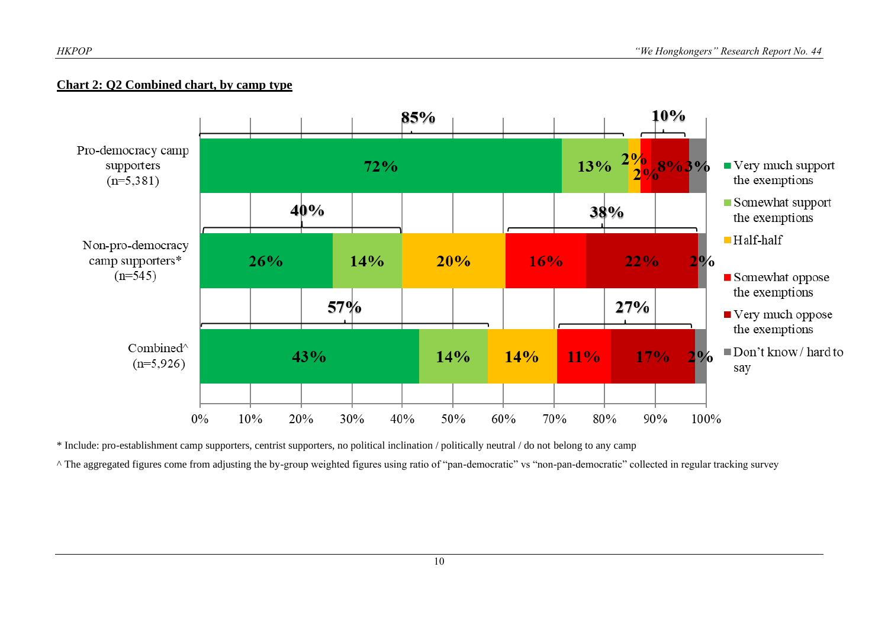#### **Chart 2: Q2 Combined chart, by camp type**



\* Include: pro-establishment camp supporters, centrist supporters, no political inclination / politically neutral / do not belong to any camp

^ The aggregated figures come from adjusting the by-group weighted figures using ratio of "pan-democratic" vs "non-pan-democratic" collected in regular tracking survey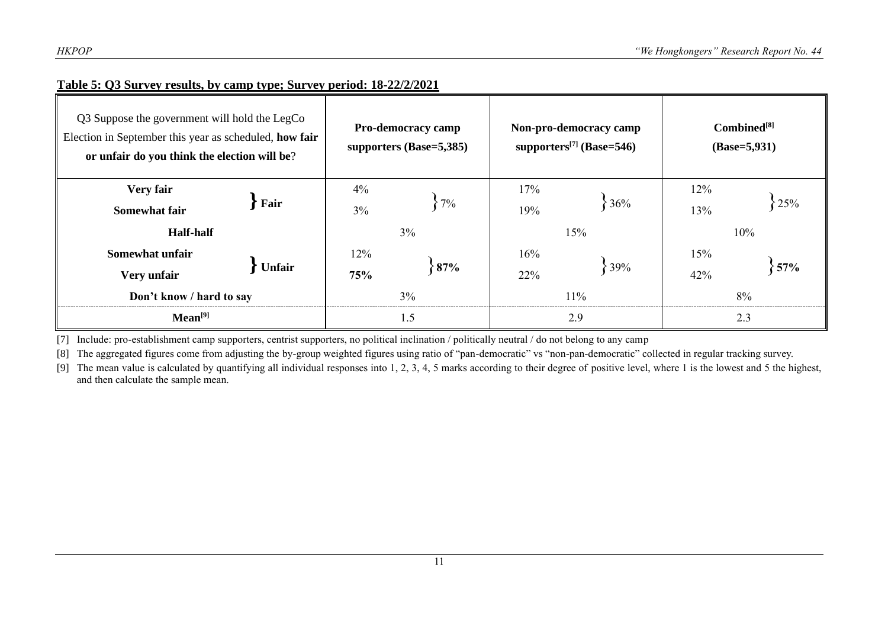# **Table 5: Q3 Survey results, by camp type; Survey period: 18-22/2/2021**

| Q3 Suppose the government will hold the LegCo<br>Election in September this year as scheduled, how fair<br>or unfair do you think the election will be? |               | <b>Pro-democracy camp</b><br>supporters (Base=5,385) |                | Non-pro-democracy camp<br>supporters <sup>[7]</sup> (Base=546) | Combined <sup>[8]</sup><br>$(Base=5,931)$ |            |     |  |
|---------------------------------------------------------------------------------------------------------------------------------------------------------|---------------|------------------------------------------------------|----------------|----------------------------------------------------------------|-------------------------------------------|------------|-----|--|
| Very fair<br><b>Somewhat fair</b>                                                                                                                       | Fair          |                                                      | 4%<br>7%<br>3% |                                                                | 36%                                       | 12%<br>13% | 25% |  |
| <b>Half-half</b>                                                                                                                                        |               |                                                      | $3\%$          |                                                                | 15%                                       | 10%        |     |  |
| Somewhat unfair                                                                                                                                         |               | 12%                                                  |                | 16%                                                            |                                           | 15%        |     |  |
| Very unfair                                                                                                                                             | <b>Unfair</b> | 75%                                                  | 87%            | 22%                                                            | 39%                                       | 42%        | 57% |  |
| Don't know / hard to say                                                                                                                                |               | $3\%$                                                |                | 11%                                                            | 8%                                        |            |     |  |
| Mean <sup>[9]</sup>                                                                                                                                     |               | 1.5                                                  |                | 2.9                                                            | 2.3                                       |            |     |  |

[7] Include: pro-establishment camp supporters, centrist supporters, no political inclination / politically neutral / do not belong to any camp

[8] The aggregated figures come from adjusting the by-group weighted figures using ratio of "pan-democratic" vs "non-pan-democratic" collected in regular tracking survey.

[9] The mean value is calculated by quantifying all individual responses into 1, 2, 3, 4, 5 marks according to their degree of positive level, where 1 is the lowest and 5 the highest, and then calculate the sample mean.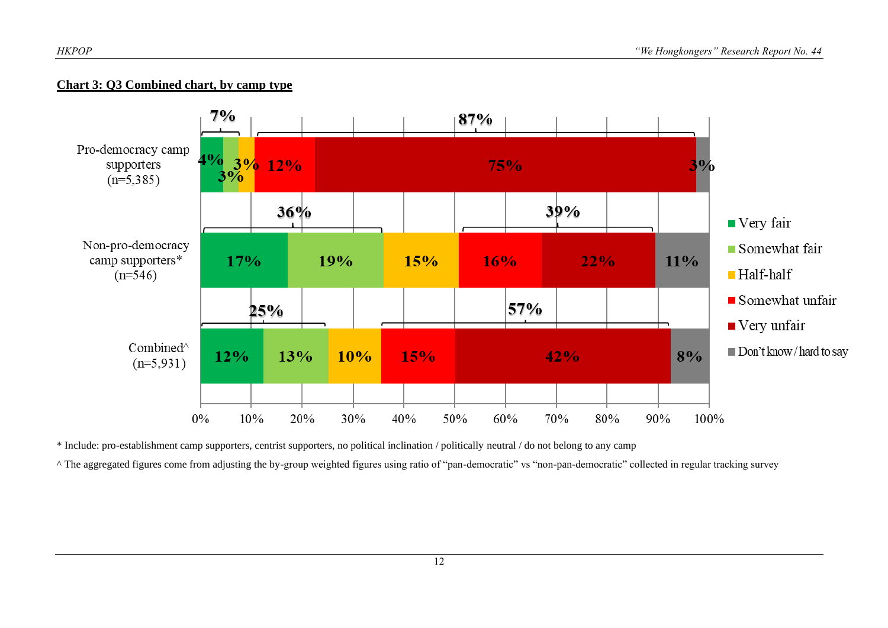# **Chart 3: Q3 Combined chart, by camp type**



\* Include: pro-establishment camp supporters, centrist supporters, no political inclination / politically neutral / do not belong to any camp

^ The aggregated figures come from adjusting the by-group weighted figures using ratio of "pan-democratic" vs "non-pan-democratic" collected in regular tracking survey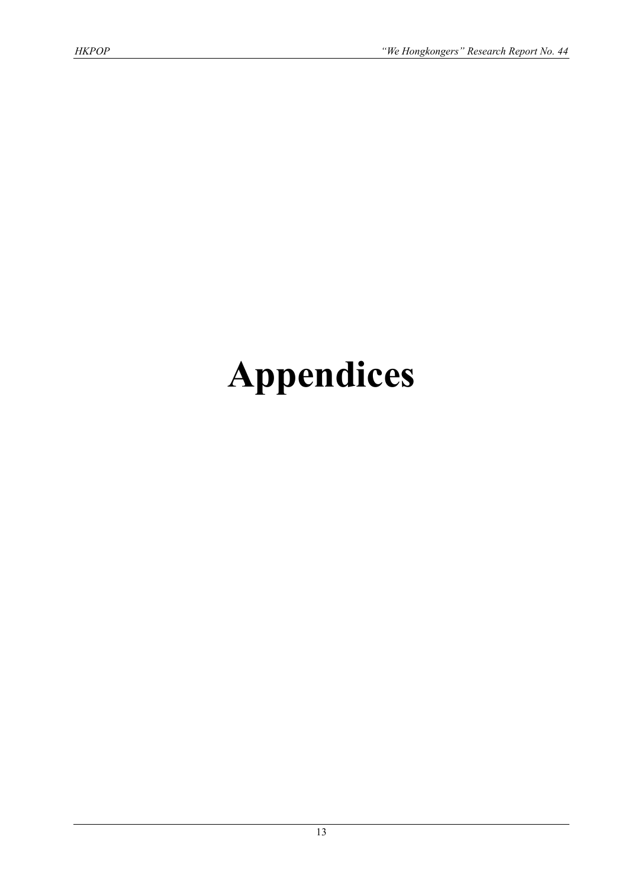# **Appendices**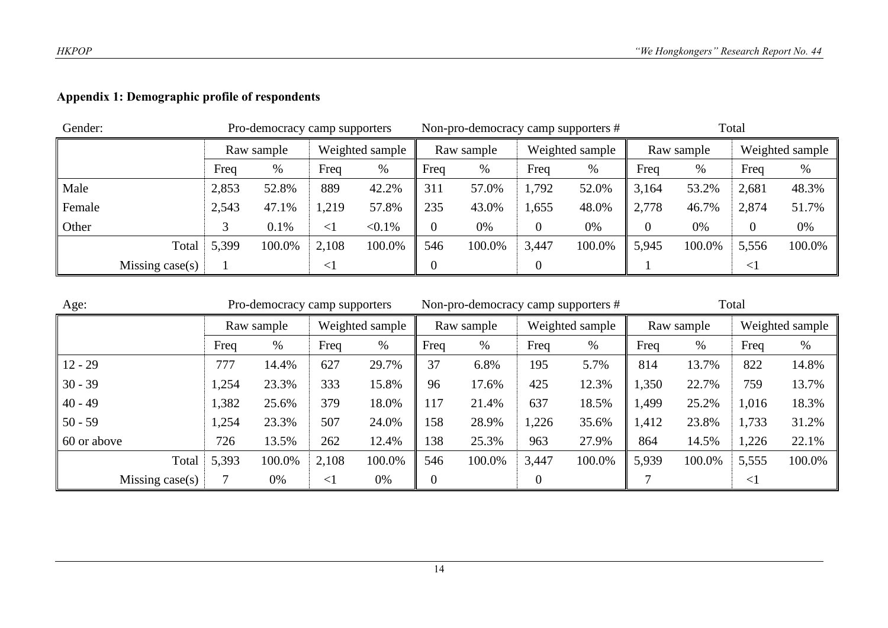# **Appendix 1: Demographic profile of respondents**

| Gender: |                 |       | Pro-democracy camp supporters |        |                 |       | Non-pro-democracy camp supporters # |       |                 | Total |            |        |                 |
|---------|-----------------|-------|-------------------------------|--------|-----------------|-------|-------------------------------------|-------|-----------------|-------|------------|--------|-----------------|
|         |                 |       | Raw sample                    |        | Weighted sample |       | Raw sample                          |       | Weighted sample |       | Raw sample |        | Weighted sample |
|         | Freq            |       | %                             | Freq   | %               | Freq  | %                                   | Freq  | %               | Freq  | %          | Freq   | $\%$            |
| Male    | 2,853<br>52.8%  |       | 889                           | 42.2%  | 311             | 57.0% | 1,792                               | 52.0% | 3,164           | 53.2% | 2,681      | 48.3%  |                 |
| Female  |                 | 2,543 | 47.1%                         | 1,219  | 57.8%           | 235   | 43.0%                               | 1,655 | 48.0%           | 2,778 | 46.7%      | 2,874  | 51.7%           |
| Other   |                 | 0.1%  |                               | $\leq$ | $< 0.1\%$       |       | 0%                                  |       | 0%              |       | 0%         | 0      | 0%              |
|         | Total           | 5,399 | 100.0%                        | 2,108  | 100.0%          | 546   | 100.0%                              | 3,447 | 100.0%          | 5,945 | 100.0%     | 5,556  | 100.0%          |
|         | Missing case(s) |       |                               | $\leq$ |                 |       |                                     |       |                 |       |            | $\leq$ |                 |

| Age:            | Pro-democracy camp supporters |            |          |                 |                  | Non-pro-democracy camp supporters # |       |                 | Total |            |          |                 |
|-----------------|-------------------------------|------------|----------|-----------------|------------------|-------------------------------------|-------|-----------------|-------|------------|----------|-----------------|
|                 |                               | Raw sample |          | Weighted sample |                  | Raw sample                          |       | Weighted sample |       | Raw sample |          | Weighted sample |
|                 | Freq                          | %          | Freq     | %               | Freq             | $\%$                                | Freq  | %               | Freq  | %          | Freq     | %               |
| $12 - 29$       | 777                           | 14.4%      | 627      | 29.7%           | 37               | 6.8%                                | 195   | 5.7%            | 814   | 13.7%      | 822      | 14.8%           |
| $30 - 39$       | 1,254                         | 23.3%      | 333      | 15.8%           | 96               | 17.6%                               | 425   | 12.3%           | 1,350 | 22.7%      | 759      | 13.7%           |
| $40 - 49$       | 1,382                         | 25.6%      | 379      | 18.0%           | 117              | 21.4%                               | 637   | 18.5%           | 1,499 | 25.2%      | 1,016    | 18.3%           |
| $50 - 59$       | 1,254                         | 23.3%      | 507      | 24.0%           | 158              | 28.9%                               | 1,226 | 35.6%           | 1,412 | 23.8%      | 1,733    | 31.2%           |
| 60 or above     | 726                           | 13.5%      | 262      | 12.4%           | 138              | 25.3%                               | 963   | 27.9%           | 864   | 14.5%      | 1,226    | 22.1%           |
| Total           | 5,393<br>100.0%               |            | 2,108    | 100.0%          | 546              | 100.0%                              | 3,447 | 100.0%          | 5,939 | 100.0%     | 5,555    | 100.0%          |
| Missing case(s) |                               | 0%         | $\leq$ 1 | 0%              | $\boldsymbol{0}$ |                                     | 0     |                 |       |            | $\leq$ 1 |                 |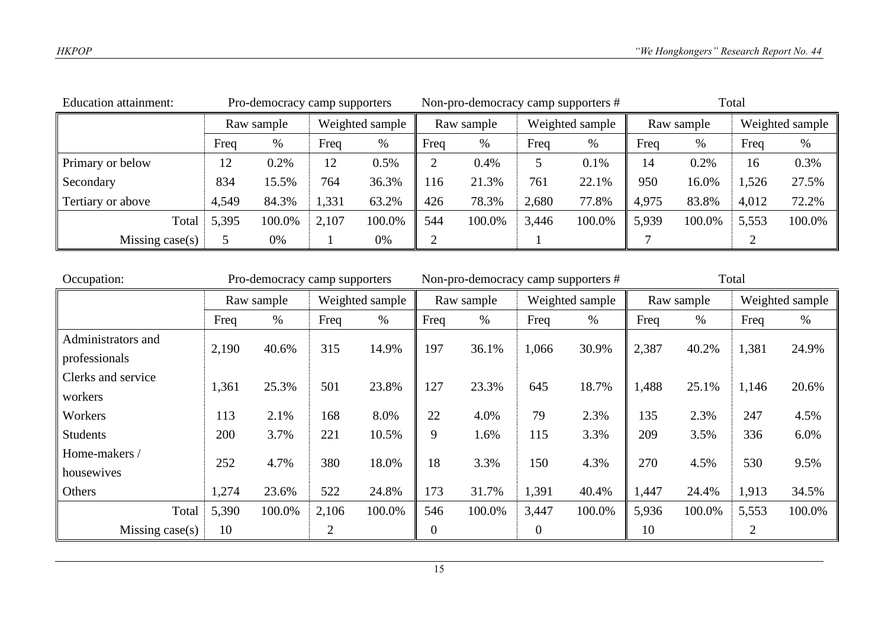| Education attainment: | Pro-democracy camp supporters |       |                 |        |            |        |                 | Non-pro-democracy camp supporters # | Total      |        |                 |        |
|-----------------------|-------------------------------|-------|-----------------|--------|------------|--------|-----------------|-------------------------------------|------------|--------|-----------------|--------|
|                       | Raw sample                    |       | Weighted sample |        | Raw sample |        | Weighted sample |                                     | Raw sample |        | Weighted sample |        |
|                       | Freq                          | $\%$  | Freq            | %      | Freq       | %      | Freq            | $\%$                                | Freq       | $\%$   | Freq            | %      |
| Primary or below      | 12                            | 0.2%  | 12              | 0.5%   |            | 0.4%   |                 | 0.1%                                | 14         | 0.2%   | 16              | 0.3%   |
| Secondary             | 834                           | 15.5% | 764             | 36.3%  | 116        | 21.3%  | 761             | 22.1%                               | 950        | 16.0%  | 1,526           | 27.5%  |
| Tertiary or above     | 4,549                         | 84.3% | 1,331           | 63.2%  | 426        | 78.3%  | 2,680           | 77.8%                               | 4,975      | 83.8%  | 4,012           | 72.2%  |
| Total                 | 5,395<br>100.0%               |       | 2,107           | 100.0% | 544        | 100.0% | 3,446           | 100.0%                              | 5,939      | 100.0% | 5,553           | 100.0% |
| Missing case $(s)$    | 0%                            |       |                 | 0%     |            |        |                 |                                     |            |        |                 |        |

| Occupation:        | Pro-democracy camp supporters |            |                 |        |            | Non-pro-democracy camp supporters # |                  |        | Total      |        |                |                 |
|--------------------|-------------------------------|------------|-----------------|--------|------------|-------------------------------------|------------------|--------|------------|--------|----------------|-----------------|
|                    |                               | Raw sample | Weighted sample |        | Raw sample |                                     | Weighted sample  |        | Raw sample |        |                | Weighted sample |
|                    | Freq                          | $\%$       | Freq            | %      | Freq       | %                                   | Freq             | $\%$   | Freq       | %      | Freq           | %               |
| Administrators and | 2,190                         | 40.6%      | 315             | 14.9%  | 197        | 36.1%                               | 1,066            | 30.9%  | 2,387      | 40.2%  | 1,381          | 24.9%           |
| professionals      |                               |            |                 |        |            |                                     |                  |        |            |        |                |                 |
| Clerks and service | 1,361                         | 25.3%      | 501             | 23.8%  | 127        | 23.3%                               | 645              | 18.7%  | 1,488      | 25.1%  | 1,146          | 20.6%           |
| workers            |                               |            |                 |        |            |                                     |                  |        |            |        |                |                 |
| Workers            | 113                           | 2.1%       | 168             | 8.0%   | 22         | 4.0%                                | 79               | 2.3%   | 135        | 2.3%   | 247            | 4.5%            |
| <b>Students</b>    | 200                           | 3.7%       | 221             | 10.5%  | 9          | 1.6%                                | 115              | 3.3%   | 209        | 3.5%   | 336            | 6.0%            |
| Home-makers /      |                               | 4.7%       | 380             | 18.0%  | 18         |                                     | 150              | 4.3%   | 270        |        |                |                 |
| housewives         | 252                           |            |                 |        |            | 3.3%                                |                  |        |            | 4.5%   | 530            | 9.5%            |
| Others             | 1,274                         | 23.6%      | 522             | 24.8%  | 173        | 31.7%                               | 1,391            | 40.4%  | 1,447      | 24.4%  | 1,913          | 34.5%           |
| Total              | 5,390                         | 100.0%     | 2,106           | 100.0% | 546        | 100.0%                              | 3,447            | 100.0% | 5,936      | 100.0% | 5,553          | 100.0%          |
| Missing $case(s)$  | 10                            |            | 2               |        | 0          |                                     | $\boldsymbol{0}$ |        | 10         |        | $\overline{2}$ |                 |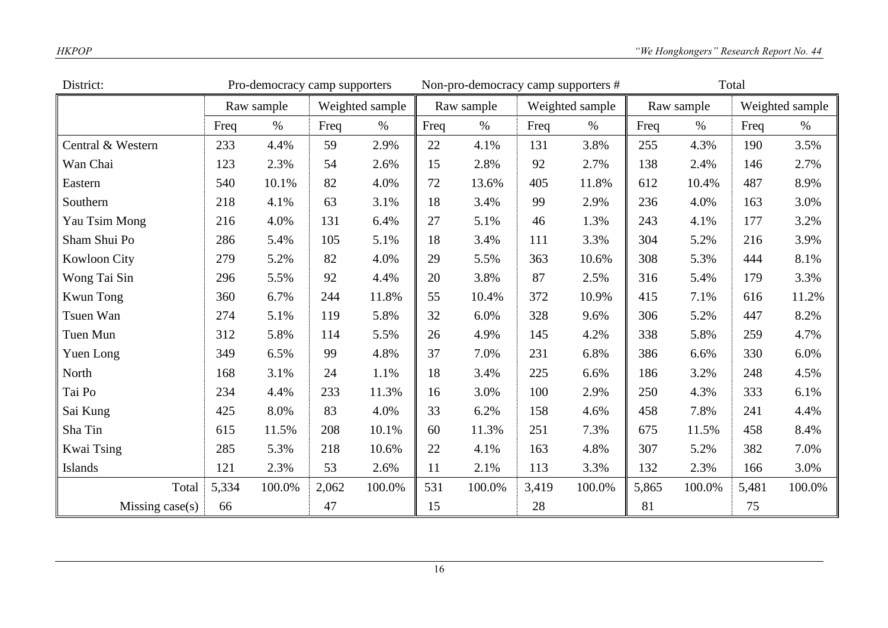| District:           | Pro-democracy camp supporters |            |                 |        |      | Non-pro-democracy camp supporters # |       |                 | Total |            |       |                 |
|---------------------|-------------------------------|------------|-----------------|--------|------|-------------------------------------|-------|-----------------|-------|------------|-------|-----------------|
|                     |                               | Raw sample | Weighted sample |        |      | Raw sample                          |       | Weighted sample |       | Raw sample |       | Weighted sample |
|                     | Freq                          | $\%$       | Freq            | $\%$   | Freq | $\%$                                | Freq  | $\%$            | Freq  | $\%$       | Freq  | $\%$            |
| Central & Western   | 233                           | 4.4%       | 59              | 2.9%   | 22   | 4.1%                                | 131   | 3.8%            | 255   | 4.3%       | 190   | 3.5%            |
| Wan Chai            | 123                           | 2.3%       | 54              | 2.6%   | 15   | 2.8%                                | 92    | 2.7%            | 138   | 2.4%       | 146   | 2.7%            |
| Eastern             | 540                           | 10.1%      | 82              | 4.0%   | 72   | 13.6%                               | 405   | 11.8%           | 612   | 10.4%      | 487   | 8.9%            |
| Southern            | 218                           | 4.1%       | 63              | 3.1%   | 18   | 3.4%                                | 99    | 2.9%            | 236   | 4.0%       | 163   | 3.0%            |
| Yau Tsim Mong       | 216                           | 4.0%       | 131             | 6.4%   | 27   | 5.1%                                | 46    | 1.3%            | 243   | 4.1%       | 177   | 3.2%            |
| Sham Shui Po        | 286                           | 5.4%       | 105             | 5.1%   | 18   | 3.4%                                | 111   | 3.3%            | 304   | 5.2%       | 216   | 3.9%            |
| <b>Kowloon City</b> | 279                           | 5.2%       | 82              | 4.0%   | 29   | 5.5%                                | 363   | 10.6%           | 308   | 5.3%       | 444   | 8.1%            |
| Wong Tai Sin        | 296                           | 5.5%       | 92              | 4.4%   | 20   | 3.8%                                | 87    | 2.5%            | 316   | 5.4%       | 179   | 3.3%            |
| <b>Kwun Tong</b>    | 360                           | 6.7%       | 244             | 11.8%  | 55   | 10.4%                               | 372   | 10.9%           | 415   | 7.1%       | 616   | 11.2%           |
| Tsuen Wan           | 274                           | 5.1%       | 119             | 5.8%   | 32   | 6.0%                                | 328   | 9.6%            | 306   | 5.2%       | 447   | 8.2%            |
| Tuen Mun            | 312                           | 5.8%       | 114             | 5.5%   | 26   | 4.9%                                | 145   | 4.2%            | 338   | 5.8%       | 259   | 4.7%            |
| Yuen Long           | 349                           | 6.5%       | 99              | 4.8%   | 37   | 7.0%                                | 231   | 6.8%            | 386   | 6.6%       | 330   | 6.0%            |
| North               | 168                           | 3.1%       | 24              | 1.1%   | 18   | 3.4%                                | 225   | 6.6%            | 186   | 3.2%       | 248   | 4.5%            |
| Tai Po              | 234                           | 4.4%       | 233             | 11.3%  | 16   | 3.0%                                | 100   | 2.9%            | 250   | 4.3%       | 333   | 6.1%            |
| Sai Kung            | 425                           | 8.0%       | 83              | 4.0%   | 33   | 6.2%                                | 158   | 4.6%            | 458   | 7.8%       | 241   | 4.4%            |
| Sha Tin             | 615                           | 11.5%      | 208             | 10.1%  | 60   | 11.3%                               | 251   | 7.3%            | 675   | 11.5%      | 458   | 8.4%            |
| Kwai Tsing          | 285                           | 5.3%       | 218             | 10.6%  | 22   | 4.1%                                | 163   | 4.8%            | 307   | 5.2%       | 382   | 7.0%            |
| Islands             | 121                           | 2.3%       | 53              | 2.6%   | 11   | 2.1%                                | 113   | 3.3%            | 132   | 2.3%       | 166   | 3.0%            |
| Total               | 5,334                         | 100.0%     | 2,062           | 100.0% | 531  | 100.0%                              | 3,419 | 100.0%          | 5,865 | 100.0%     | 5,481 | 100.0%          |
| Missing $case(s)$   | 66                            |            | 47              |        | 15   |                                     | 28    |                 | 81    |            | 75    |                 |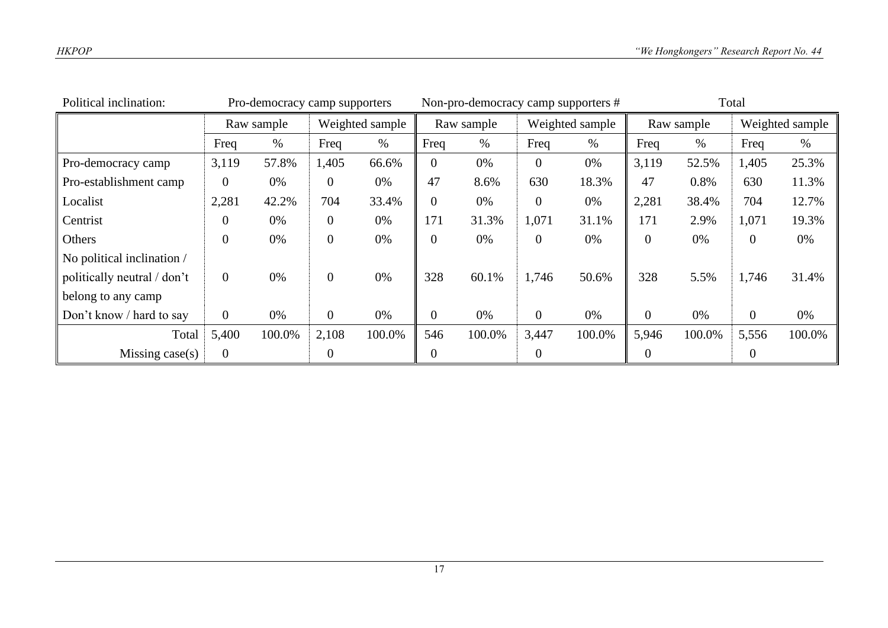| Political inclination:      | Pro-democracy camp supporters |        |                 | Non-pro-democracy camp supporters # |                |        |                 | Total  |                |        |                  |        |
|-----------------------------|-------------------------------|--------|-----------------|-------------------------------------|----------------|--------|-----------------|--------|----------------|--------|------------------|--------|
|                             | Raw sample                    |        | Weighted sample |                                     | Raw sample     |        | Weighted sample |        | Raw sample     |        | Weighted sample  |        |
|                             | Freq                          | %      | Freq            | $\%$                                | Freq           | $\%$   | Freq            | $\%$   | Freq           | %      | Freq             | $\%$   |
| Pro-democracy camp          | 3,119                         | 57.8%  | 1,405           | 66.6%                               | 0              | 0%     | $\theta$        | 0%     | 3,119          | 52.5%  | 1,405            | 25.3%  |
| Pro-establishment camp      | $\overline{0}$                | 0%     | $\theta$        | 0%                                  | 47             | 8.6%   | 630             | 18.3%  | 47             | 0.8%   | 630              | 11.3%  |
| Localist                    | 2,281                         | 42.2%  | 704             | 33.4%                               | 0              | 0%     | $\theta$        | 0%     | 2,281          | 38.4%  | 704              | 12.7%  |
| Centrist                    | 0                             | 0%     | $\overline{0}$  | 0%                                  | 171            | 31.3%  | 1,071           | 31.1%  | 171            | 2.9%   | 1,071            | 19.3%  |
| Others                      | $\overline{0}$                | 0%     | $\overline{0}$  | 0%                                  | $\overline{0}$ | 0%     | $\theta$        | 0%     | $\overline{0}$ | 0%     | $\boldsymbol{0}$ | 0%     |
| No political inclination /  |                               |        |                 |                                     |                |        |                 |        |                |        |                  |        |
| politically neutral / don't | $\overline{0}$                | 0%     | $\overline{0}$  | 0%                                  | 328            | 60.1%  | 1,746           | 50.6%  | 328            | 5.5%   | 1,746            | 31.4%  |
| belong to any camp          |                               |        |                 |                                     |                |        |                 |        |                |        |                  |        |
| Don't know / hard to say    | $\overline{0}$                | 0%     | $\overline{0}$  | 0%                                  | $\overline{0}$ | 0%     | $\overline{0}$  | 0%     | $\overline{0}$ | 0%     | $\overline{0}$   | 0%     |
| Total                       | 5,400                         | 100.0% | 2,108           | 100.0%                              | 546            | 100.0% | 3,447           | 100.0% | 5,946          | 100.0% | 5,556            | 100.0% |
| Missing $case(s)$           | $\overline{0}$                |        | 0               |                                     | 0              |        | 0               |        | $\theta$       |        | $\overline{0}$   |        |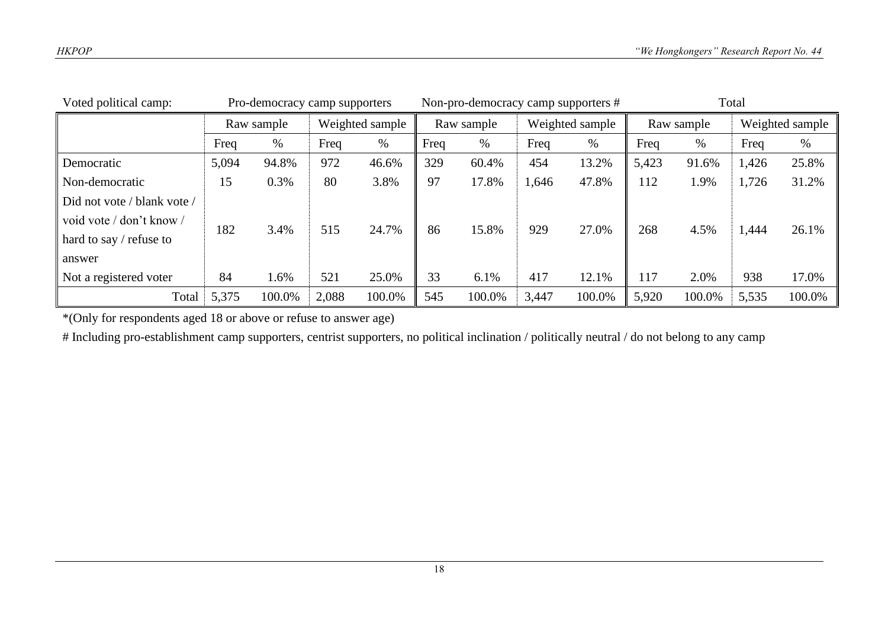| Voted political camp:       | Pro-democracy camp supporters |        |                 |        | Non-pro-democracy camp supporters # |        |                 |        | Total      |        |                 |        |
|-----------------------------|-------------------------------|--------|-----------------|--------|-------------------------------------|--------|-----------------|--------|------------|--------|-----------------|--------|
|                             | Raw sample                    |        | Weighted sample |        | Raw sample                          |        | Weighted sample |        | Raw sample |        | Weighted sample |        |
|                             | Freq                          | %      | Freq            | %      | Freq                                | %      | Freq            | $\%$   | Freq       | %      | Freq            | $\%$   |
| Democratic                  | 5,094                         | 94.8%  | 972             | 46.6%  | 329                                 | 60.4%  | 454             | 13.2%  | 5,423      | 91.6%  | 1,426           | 25.8%  |
| Non-democratic              | 15                            | 0.3%   | 80              | 3.8%   | 97                                  | 17.8%  | 1,646           | 47.8%  | 112        | 1.9%   | 1,726           | 31.2%  |
| Did not vote / blank vote / |                               |        |                 |        |                                     |        |                 |        |            |        |                 |        |
| void vote / don't know /    | 182                           | 3.4%   | 515             | 24.7%  | 86                                  | 15.8%  | 929             | 27.0%  | 268        | 4.5%   |                 | 26.1%  |
| hard to say / refuse to     |                               |        |                 |        |                                     |        |                 |        |            |        | 1,444           |        |
| answer                      |                               |        |                 |        |                                     |        |                 |        |            |        |                 |        |
| Not a registered voter      | 84                            | 1.6%   | 521             | 25.0%  | 33                                  | 6.1%   | 417             | 12.1%  | 117        | 2.0%   | 938             | 17.0%  |
| Total                       | 5,375                         | 100.0% | 2,088           | 100.0% | 545                                 | 100.0% | 3,447           | 100.0% | 5,920      | 100.0% | 5,535           | 100.0% |

\*(Only for respondents aged 18 or above or refuse to answer age)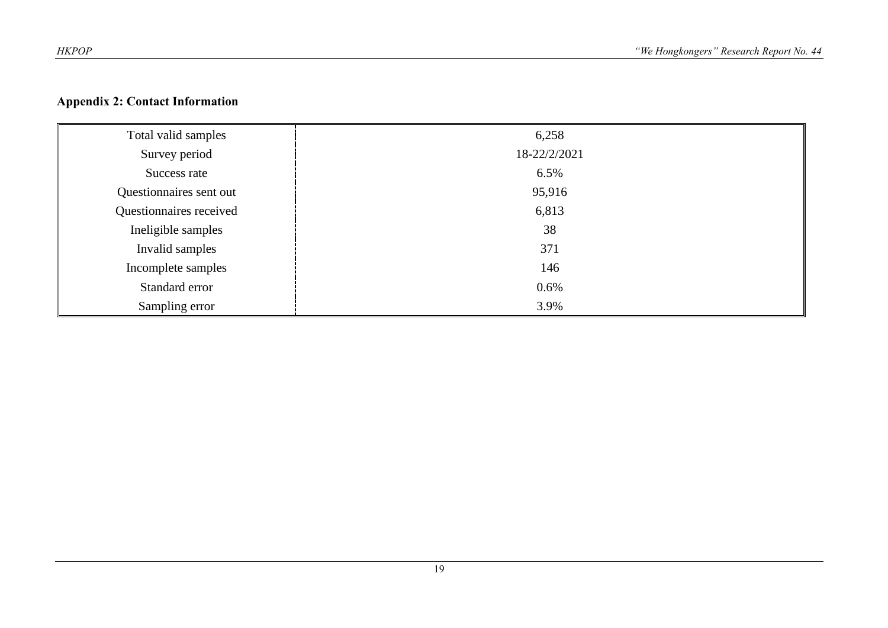# **Appendix 2: Contact Information**

| Total valid samples     | 6,258        |
|-------------------------|--------------|
| Survey period           | 18-22/2/2021 |
| Success rate            | 6.5%         |
| Questionnaires sent out | 95,916       |
| Questionnaires received | 6,813        |
| Ineligible samples      | 38           |
| Invalid samples         | 371          |
| Incomplete samples      | 146          |
| Standard error          | 0.6%         |
| Sampling error          | 3.9%         |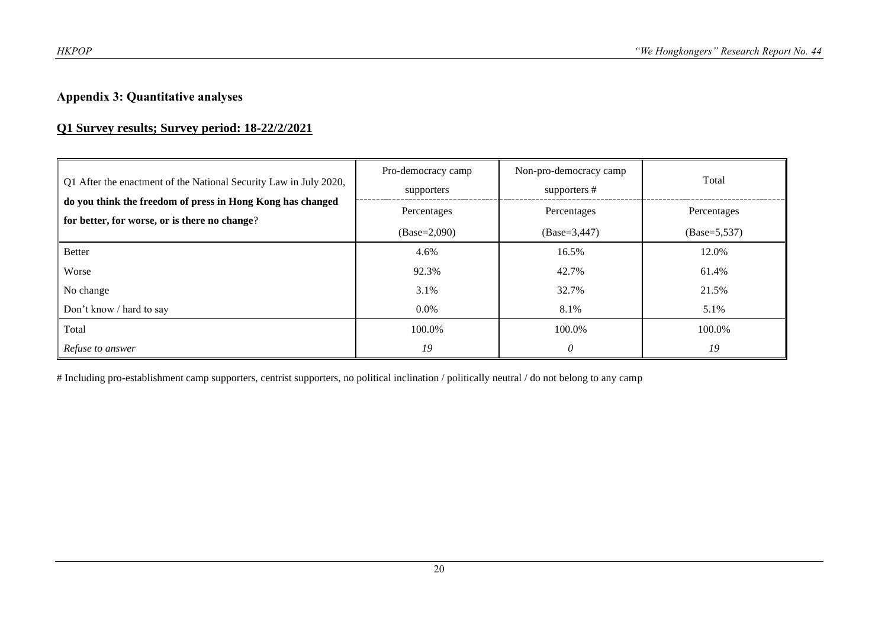# **Appendix 3: Quantitative analyses**

# **Q1 Survey results; Survey period: 18-22/2/2021**

| Q1 After the enactment of the National Security Law in July 2020,                                           | Pro-democracy camp<br>supporters | Non-pro-democracy camp<br>supporters # | Total                         |  |
|-------------------------------------------------------------------------------------------------------------|----------------------------------|----------------------------------------|-------------------------------|--|
| do you think the freedom of press in Hong Kong has changed<br>for better, for worse, or is there no change? | Percentages                      | Percentages                            | Percentages<br>$(Base=5,537)$ |  |
|                                                                                                             | $(Base=2,090)$                   | $(Base=3,447)$                         |                               |  |
| Better                                                                                                      | 4.6%                             | 16.5%                                  | 12.0%                         |  |
| Worse                                                                                                       | 92.3%                            | 42.7%                                  | 61.4%                         |  |
| No change                                                                                                   | 3.1%                             | 32.7%                                  | 21.5%                         |  |
| Don't know / hard to say                                                                                    | $0.0\%$                          | 8.1%                                   | 5.1%                          |  |
| Total                                                                                                       | 100.0%                           | 100.0%                                 | 100.0%                        |  |
| Refuse to answer                                                                                            | 19                               | 0                                      | 19                            |  |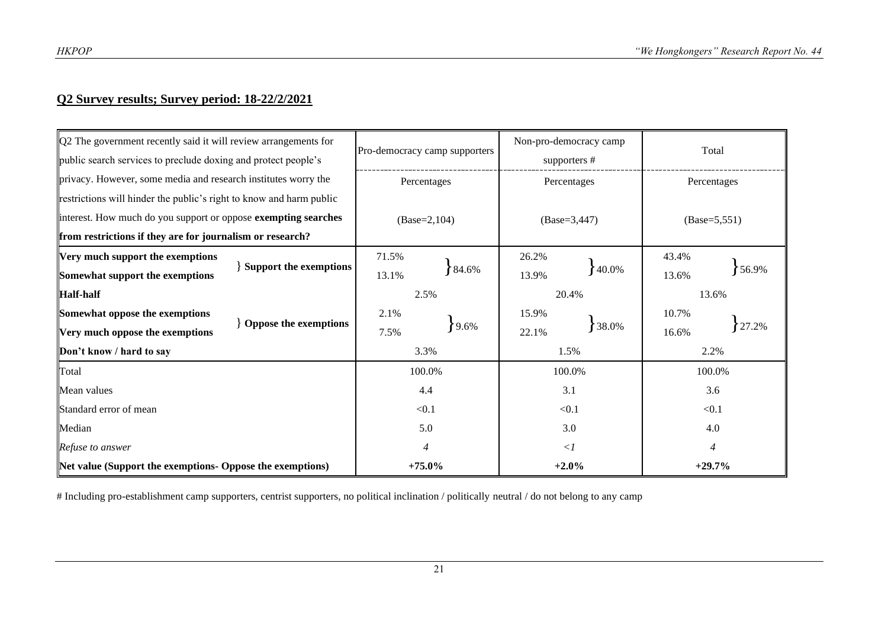# **Q2 Survey results; Survey period: 18-22/2/2021**

| $\sqrt{Q}$ ? The government recently said it will review arrangements for<br>public search services to preclude doxing and protect people's | Pro-democracy camp supporters |                | Non-pro-democracy camp<br>supporters # |                | Total          |                 |       |  |
|---------------------------------------------------------------------------------------------------------------------------------------------|-------------------------------|----------------|----------------------------------------|----------------|----------------|-----------------|-------|--|
| privacy. However, some media and research institutes worry the                                                                              | Percentages                   |                | Percentages                            |                | Percentages    |                 |       |  |
| restrictions will hinder the public's right to know and harm public                                                                         |                               |                |                                        |                |                |                 |       |  |
| interest. How much do you support or oppose exempting searches                                                                              |                               | $(Base=2,104)$ |                                        | $(Base=3,447)$ |                | $(Base=5, 551)$ |       |  |
| from restrictions if they are for journalism or research?                                                                                   |                               |                |                                        |                |                |                 |       |  |
| Very much support the exemptions                                                                                                            |                               | 71.5%          | $84.6\%$                               | 26.2%          |                | 43.4%           |       |  |
| Somewhat support the exemptions                                                                                                             | <b>Support the exemptions</b> | 13.1%          |                                        | 13.9%          | 40.0%          | 13.6%           | 56.9% |  |
| <b>Half-half</b>                                                                                                                            |                               |                | 2.5%                                   |                | 20.4%          |                 | 13.6% |  |
| Somewhat oppose the exemptions                                                                                                              |                               | 2.1%<br>7.5%   | 9.6%                                   | 15.9%          |                | 10.7%           |       |  |
| Very much oppose the exemptions                                                                                                             | Oppose the exemptions         |                |                                        | 22.1%          | 38.0%          | 16.6%           | 27.2% |  |
| Don't know / hard to say                                                                                                                    |                               |                | 3.3%                                   |                | 1.5%           |                 | 2.2%  |  |
| Total                                                                                                                                       |                               | 100.0%         |                                        | 100.0%         |                | 100.0%          |       |  |
| Mean values                                                                                                                                 |                               | 4.4            |                                        | 3.1            |                | 3.6             |       |  |
| Standard error of mean                                                                                                                      | < 0.1                         |                | < 0.1                                  |                | < 0.1          |                 |       |  |
| Median                                                                                                                                      | 5.0                           |                | 3.0                                    |                | 4.0            |                 |       |  |
| Refuse to answer                                                                                                                            |                               |                | $\langle$ 1                            |                | $\overline{4}$ |                 |       |  |
| Net value (Support the exemptions- Oppose the exemptions)                                                                                   | $+75.0\%$                     |                | $+2.0%$                                |                | $+29.7%$       |                 |       |  |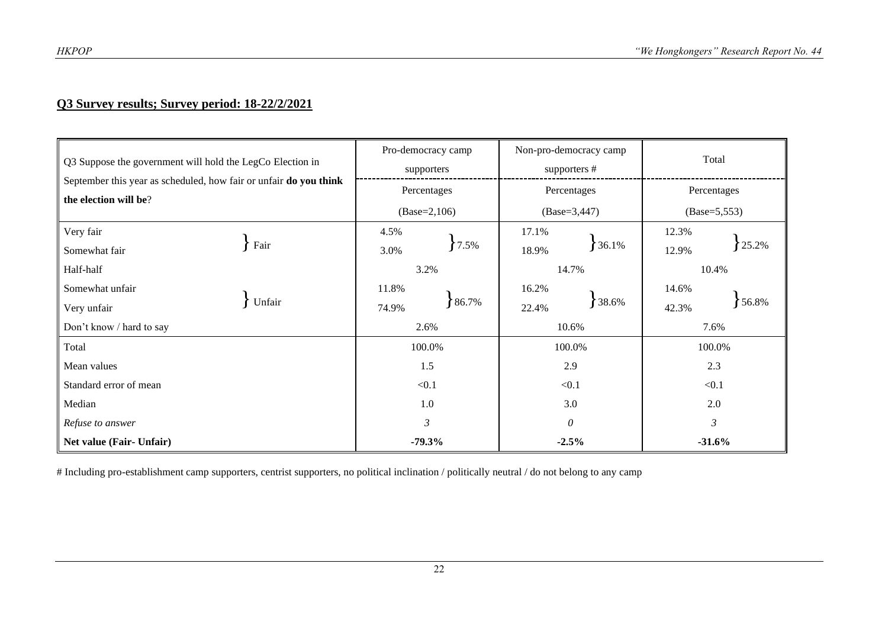# **Q3 Survey results; Survey period: 18-22/2/2021**

| Q3 Suppose the government will hold the LegCo Election in<br>September this year as scheduled, how fair or unfair do you think<br>the election will be? |        | Pro-democracy camp<br>supporters |             | Non-pro-democracy camp<br>supporters # |       | Total             |       |
|---------------------------------------------------------------------------------------------------------------------------------------------------------|--------|----------------------------------|-------------|----------------------------------------|-------|-------------------|-------|
|                                                                                                                                                         |        |                                  | Percentages | Percentages                            |       | Percentages       |       |
|                                                                                                                                                         |        | $(Base=2,106)$                   |             | $(Base=3,447)$                         |       | $(Base = 5, 553)$ |       |
| Very fair<br>Somewhat fair                                                                                                                              | Fair   | 4.5%<br>3.0%                     | 7.5%        | 17.1%<br>18.9%                         | 36.1% | 12.3%<br>12.9%    | 25.2% |
| Half-half                                                                                                                                               |        | 3.2%                             |             | 14.7%                                  |       | 10.4%             |       |
| Somewhat unfair                                                                                                                                         |        | 11.8%                            |             | 16.2%                                  |       | 14.6%             |       |
| Very unfair                                                                                                                                             | Unfair | 74.9%                            | 86.7%       | 22.4%                                  | 38.6% | 42.3%             | 56.8% |
| Don't know / hard to say                                                                                                                                |        | 2.6%                             |             | 10.6%                                  |       | 7.6%              |       |
| Total                                                                                                                                                   |        | 100.0%                           |             | 100.0%                                 |       | 100.0%            |       |
| Mean values                                                                                                                                             |        | 1.5                              |             | 2.9                                    |       | 2.3               |       |
| Standard error of mean                                                                                                                                  |        | < 0.1                            |             | < 0.1                                  |       | < 0.1             |       |
| Median                                                                                                                                                  |        | 1.0                              |             | 3.0                                    |       | 2.0               |       |
| Refuse to answer                                                                                                                                        |        | 3                                |             | $\theta$                               |       | 3                 |       |
| Net value (Fair- Unfair)                                                                                                                                |        | $-79.3%$                         |             | $-2.5%$                                |       | $-31.6%$          |       |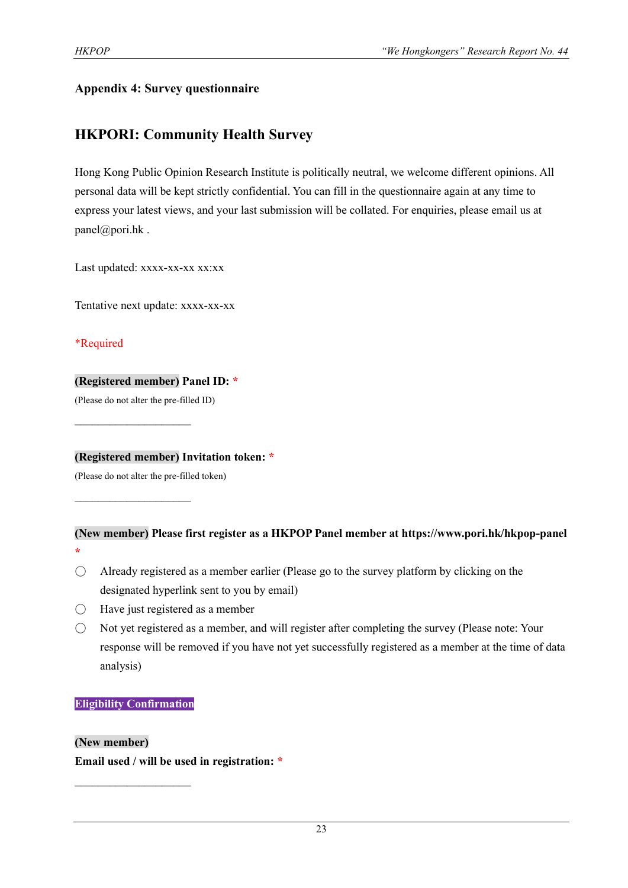# **Appendix 4: Survey questionnaire**

# **HKPORI: Community Health Survey**

Hong Kong Public Opinion Research Institute is politically neutral, we welcome different opinions. All personal data will be kept strictly confidential. You can fill in the questionnaire again at any time to express your latest views, and your last submission will be collated. For enquiries, please email us at panel@pori.hk.

Last updated: xxxx-xx-xx xx:xx

Tentative next update: xxxx-xx-xx

# \*Required

# **(Registered member) Panel ID: \***

(Please do not alter the pre-filled ID)

 $\mathcal{L}_\text{max}$  , where  $\mathcal{L}_\text{max}$ 

 $\mathcal{L}_\text{max}$  , where  $\mathcal{L}_\text{max}$ 

**(Registered member) Invitation token: \***

(Please do not alter the pre-filled token)

# **(New member) Please first register as a HKPOP Panel member at https://www.pori.hk/hkpop-panel \***

- $\bigcirc$  Already registered as a member earlier (Please go to the survey platform by clicking on the designated hyperlink sent to you by email)
- $\bigcirc$  Have just registered as a member
- Not yet registered as a member, and will register after completing the survey (Please note: Your response will be removed if you have not yet successfully registered as a member at the time of data analysis)

# **Eligibility Confirmation**

 $\mathcal{L}_\text{max}$ 

# **(New member)**

**Email used / will be used in registration: \***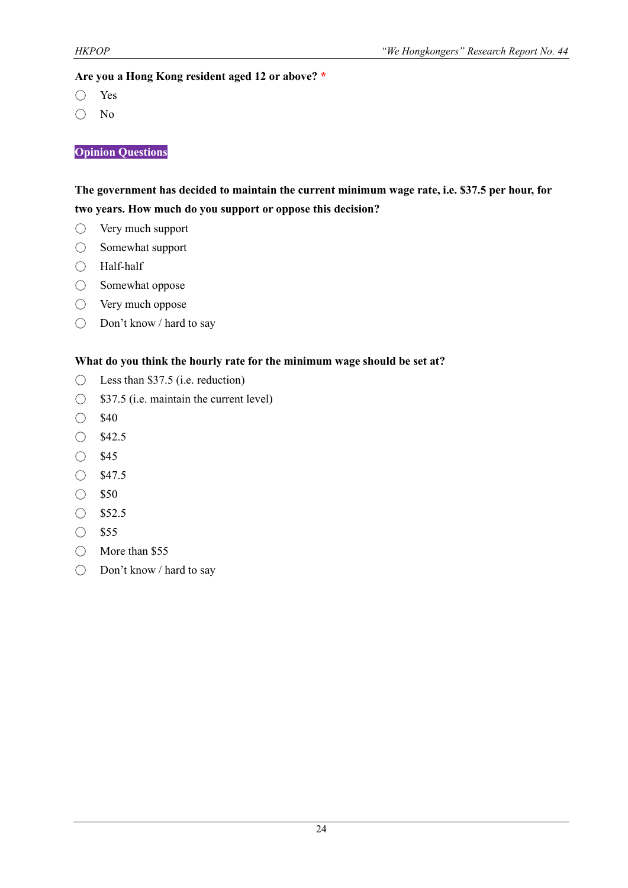#### **Are you a Hong Kong resident aged 12 or above? \***

- Yes
- No

#### **Opinion Questions**

# **The government has decided to maintain the current minimum wage rate, i.e. \$37.5 per hour, for two years. How much do you support or oppose this decision?**

- Very much support
- Somewhat support
- Half-half
- Somewhat oppose
- Very much oppose
- Don't know / hard to say

#### **What do you think the hourly rate for the minimum wage should be set at?**

- $\bigcirc$  Less than \$37.5 (i.e. reduction)
- $\bigcirc$  \$37.5 (i.e. maintain the current level)
- \$40
- \$42.5
- \$45
- \$47.5
- \$50
- \$52.5
- \$55
- More than \$55
- Don't know / hard to say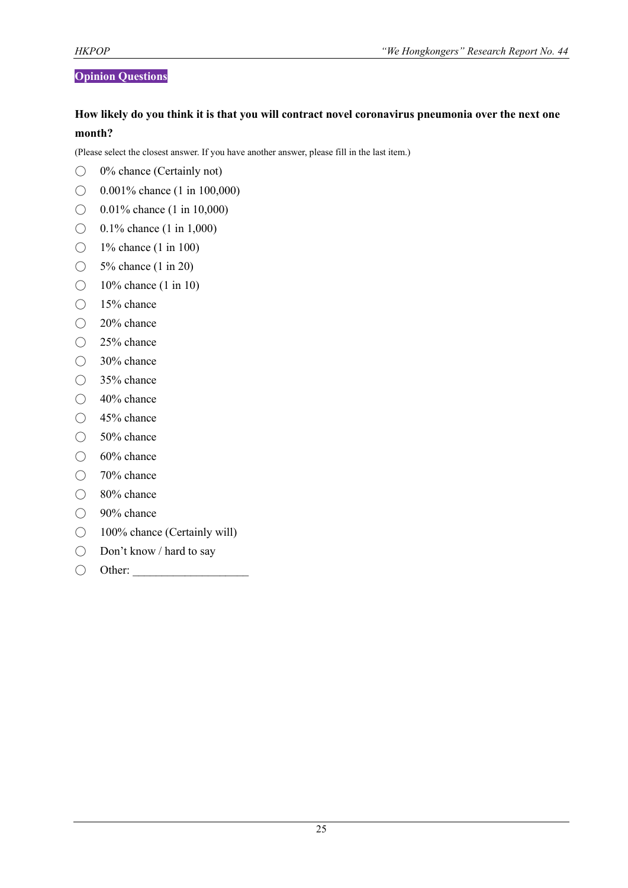# **Opinion Questions**

# **How likely do you think it is that you will contract novel coronavirus pneumonia over the next one month?**

(Please select the closest answer. If you have another answer, please fill in the last item.)

- $\bigcirc$  0% chance (Certainly not)
- $\bigcirc$  0.001% chance (1 in 100,000)
- ◯ 0.01% chance (1 in 10,000)
- $\bigcirc$  0.1% chance (1 in 1,000)
- 1% chance (1 in 100)
- $\bigcirc$  5% chance (1 in 20)
- $\bigcirc$  10% chance (1 in 10)
- 15% chance
- 20% chance
- 25% chance
- $\bigcirc$  30% chance
- 35% chance
- $\bigcirc$  40% chance
- 45% chance
- 50% chance
- $\bigcirc$  60% chance
- 70% chance
- 80% chance
- 90% chance
- 100% chance (Certainly will)
- Don't know / hard to say
- Other: \_\_\_\_\_\_\_\_\_\_\_\_\_\_\_\_\_\_\_\_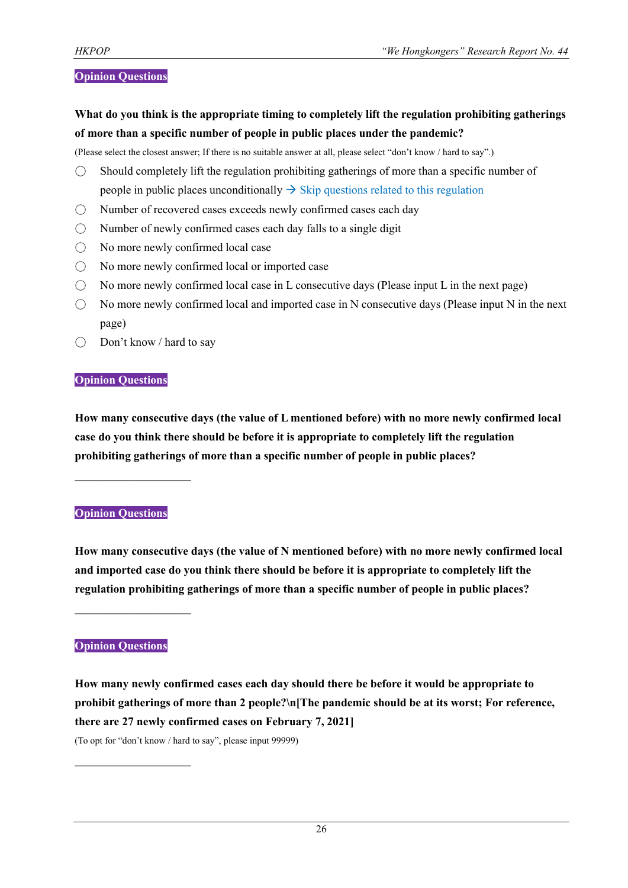#### **Opinion Questions**

**What do you think is the appropriate timing to completely lift the regulation prohibiting gatherings of more than a specific number of people in public places under the pandemic?**

(Please select the closest answer; If there is no suitable answer at all, please select "don't know / hard to say".)

- $\bigcirc$  Should completely lift the regulation prohibiting gatherings of more than a specific number of people in public places unconditionally  $\rightarrow$  Skip questions related to this regulation
- Number of recovered cases exceeds newly confirmed cases each day
- $\bigcirc$  Number of newly confirmed cases each day falls to a single digit
- No more newly confirmed local case
- No more newly confirmed local or imported case
- $\bigcirc$  No more newly confirmed local case in L consecutive days (Please input L in the next page)
- $\bigcirc$  No more newly confirmed local and imported case in N consecutive days (Please input N in the next page)
- Don't know / hard to say

#### **Opinion Questions**

**How many consecutive days (the value of L mentioned before) with no more newly confirmed local case do you think there should be before it is appropriate to completely lift the regulation prohibiting gatherings of more than a specific number of people in public places?**

#### **Opinion Questions**

 $\mathcal{L}_\text{max}$  , where  $\mathcal{L}_\text{max}$ 

**How many consecutive days (the value of N mentioned before) with no more newly confirmed local and imported case do you think there should be before it is appropriate to completely lift the regulation prohibiting gatherings of more than a specific number of people in public places?**

#### **Opinion Questions**

 $\mathcal{L}_\text{max}$  , where  $\mathcal{L}_\text{max}$ 

 $\mathcal{L}_\text{max}$ 

**How many newly confirmed cases each day should there be before it would be appropriate to prohibit gatherings of more than 2 people?\n[The pandemic should be at its worst; For reference, there are 27 newly confirmed cases on February 7, 2021]** (To opt for "don't know / hard to say", please input 99999)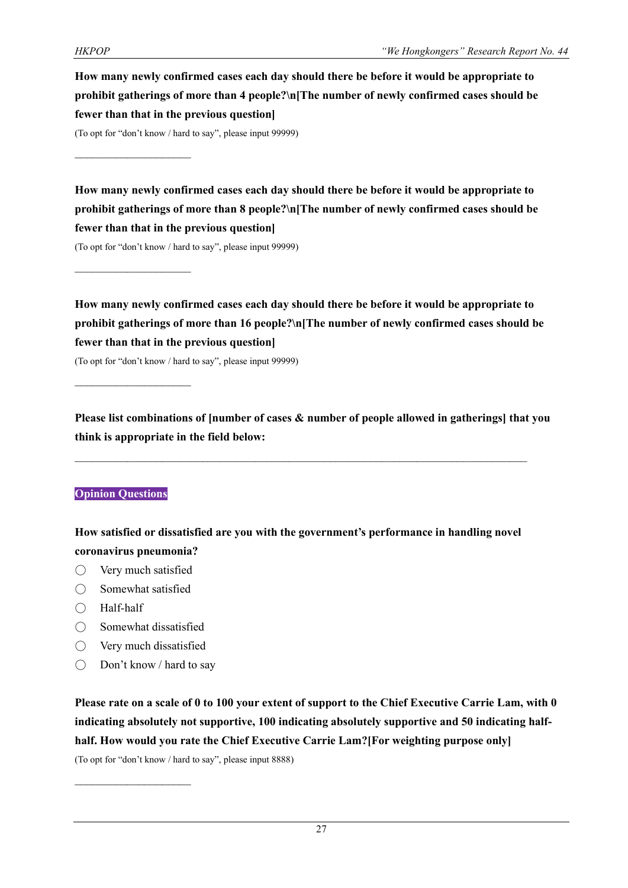**How many newly confirmed cases each day should there be before it would be appropriate to prohibit gatherings of more than 4 people?\n[The number of newly confirmed cases should be fewer than that in the previous question]**

(To opt for "don't know / hard to say", please input 99999)

 $\mathcal{L}_\text{max}$ 

 $\mathcal{L}_\text{max}$ 

**How many newly confirmed cases each day should there be before it would be appropriate to prohibit gatherings of more than 8 people?\n[The number of newly confirmed cases should be fewer than that in the previous question]**

(To opt for "don't know / hard to say", please input 99999)

**How many newly confirmed cases each day should there be before it would be appropriate to prohibit gatherings of more than 16 people?\n[The number of newly confirmed cases should be fewer than that in the previous question]**

(To opt for "don't know / hard to say", please input 99999)

**Please list combinations of [number of cases & number of people allowed in gatherings] that you think is appropriate in the field below:**

# **Opinion Questions**

**How satisfied or dissatisfied are you with the government's performance in handling novel coronavirus pneumonia?**

- Very much satisfied
- $\bigcirc$  Somewhat satisfied
- Half-half
- Somewhat dissatisfied
- Very much dissatisfied

 $\mathcal{L}_\text{max}$ 

 $\bigcirc$  Don't know / hard to say

**Please rate on a scale of 0 to 100 your extent of support to the Chief Executive Carrie Lam, with 0 indicating absolutely not supportive, 100 indicating absolutely supportive and 50 indicating halfhalf. How would you rate the Chief Executive Carrie Lam?[For weighting purpose only]**

(To opt for "don't know / hard to say", please input 8888)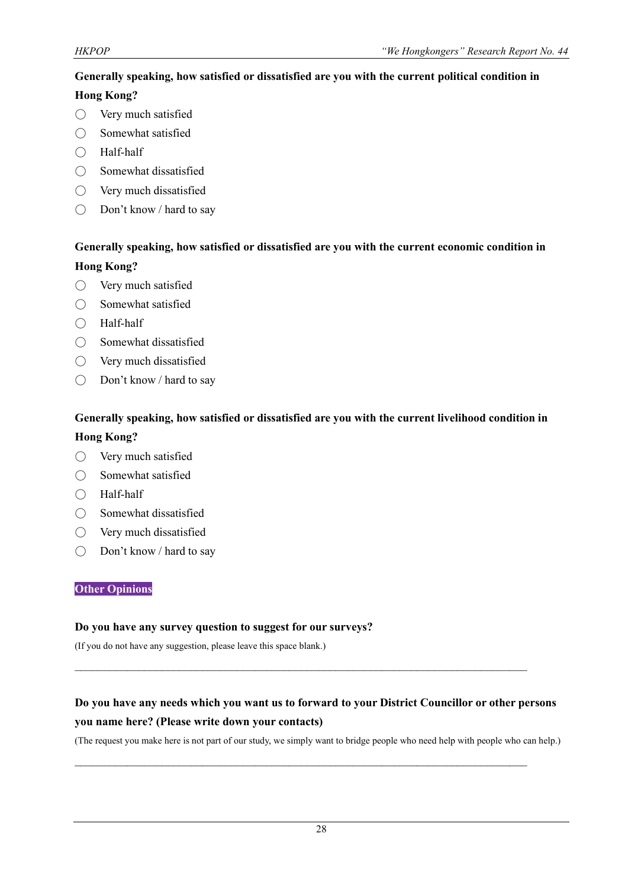# **Generally speaking, how satisfied or dissatisfied are you with the current political condition in**

# **Hong Kong?**

- Very much satisfied
- Somewhat satisfied
- Half-half
- Somewhat dissatisfied
- Very much dissatisfied
- Don't know / hard to say

# **Generally speaking, how satisfied or dissatisfied are you with the current economic condition in Hong Kong?**

- Very much satisfied
- Somewhat satisfied
- Half-half
- Somewhat dissatisfied
- Very much dissatisfied
- Don't know / hard to say

# **Generally speaking, how satisfied or dissatisfied are you with the current livelihood condition in**

# **Hong Kong?**

- Very much satisfied
- Somewhat satisfied
- Half-half
- Somewhat dissatisfied
- Very much dissatisfied
- Don't know / hard to say

#### **Other Opinions**

#### **Do you have any survey question to suggest for our surveys?**

(If you do not have any suggestion, please leave this space blank.)

# **Do you have any needs which you want us to forward to your District Councillor or other persons you name here? (Please write down your contacts)**

 $\mathcal{L}_\text{max}$  and  $\mathcal{L}_\text{max}$  and  $\mathcal{L}_\text{max}$  and  $\mathcal{L}_\text{max}$  and  $\mathcal{L}_\text{max}$  and  $\mathcal{L}_\text{max}$ 

 $\mathcal{L}_\mathcal{L} = \{ \mathcal{L}_\mathcal{L} = \{ \mathcal{L}_\mathcal{L} = \{ \mathcal{L}_\mathcal{L} = \{ \mathcal{L}_\mathcal{L} = \{ \mathcal{L}_\mathcal{L} = \{ \mathcal{L}_\mathcal{L} = \{ \mathcal{L}_\mathcal{L} = \{ \mathcal{L}_\mathcal{L} = \{ \mathcal{L}_\mathcal{L} = \{ \mathcal{L}_\mathcal{L} = \{ \mathcal{L}_\mathcal{L} = \{ \mathcal{L}_\mathcal{L} = \{ \mathcal{L}_\mathcal{L} = \{ \mathcal{L}_\mathcal{$ 

(The request you make here is not part of our study, we simply want to bridge people who need help with people who can help.)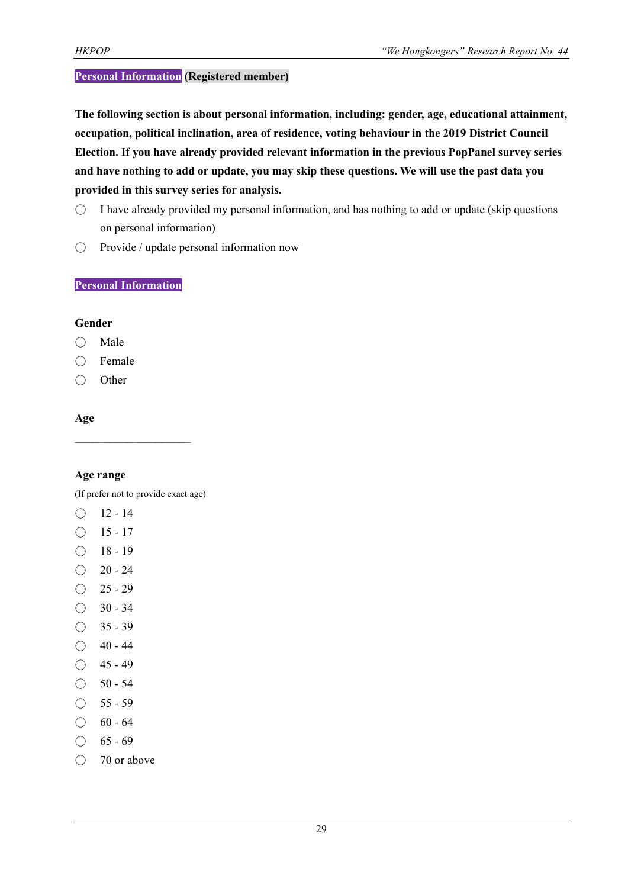# **Personal Information (Registered member)**

**The following section is about personal information, including: gender, age, educational attainment, occupation, political inclination, area of residence, voting behaviour in the 2019 District Council Election. If you have already provided relevant information in the previous PopPanel survey series and have nothing to add or update, you may skip these questions. We will use the past data you provided in this survey series for analysis.**

- $\circ$  I have already provided my personal information, and has nothing to add or update (skip questions on personal information)
- Provide / update personal information now

#### **Personal Information**

#### **Gender**

- Male
- Female
- Other

# **Age**

#### **Age range**

(If prefer not to provide exact age)

- $O$  12 14
- $\bigcirc$  15 17
- $\bigcirc$  18 19
- $\bigcirc$  20 24
- $\bigcirc$  25 29
- $\bigcirc$  30 34
- $\bigcirc$  35 39
- $\bigcirc$  40 44
- $\bigcirc$  45 49
- $\bigcirc$  50 54
- $\bigcirc$  55 59
- $\bigcirc$  60 64
- $\bigcirc$  65 69
- 70 or above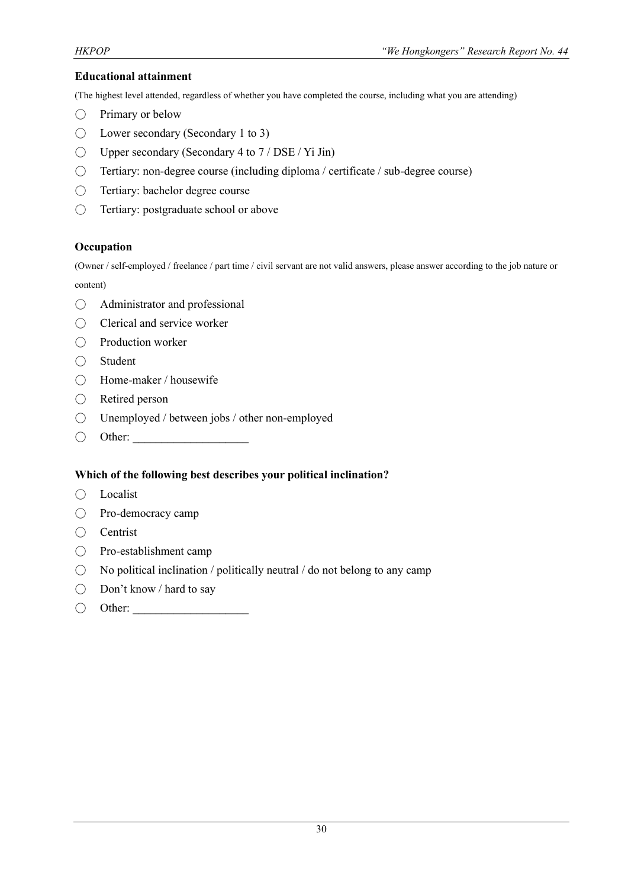#### **Educational attainment**

(The highest level attended, regardless of whether you have completed the course, including what you are attending)

- $\bigcirc$  Primary or below
- $\bigcirc$  Lower secondary (Secondary 1 to 3)
- $\bigcirc$  Upper secondary (Secondary 4 to 7 / DSE / Yi Jin)
- Tertiary: non-degree course (including diploma / certificate / sub-degree course)
- Tertiary: bachelor degree course
- Tertiary: postgraduate school or above

#### **Occupation**

(Owner / self-employed / freelance / part time / civil servant are not valid answers, please answer according to the job nature or content)

- Administrator and professional
- Clerical and service worker
- Production worker
- Student
- Home-maker / housewife
- Retired person
- Unemployed / between jobs / other non-employed
- $\bigcirc$  Other:

#### **Which of the following best describes your political inclination?**

- Localist
- Pro-democracy camp
- Centrist
- Pro-establishment camp
- $\bigcirc$  No political inclination / politically neutral / do not belong to any camp
- Don't know / hard to say
- $\bigcirc$  Other: